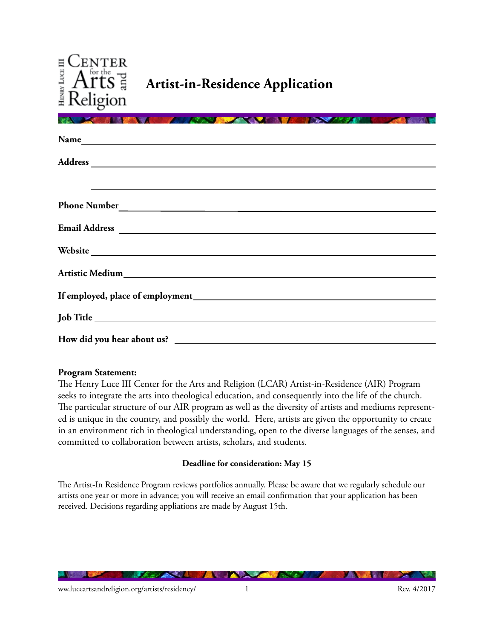

| <b><i>CONTRACTOR</i></b><br><b>The Company of the Company's Company</b>                                                                                                                                                        |
|--------------------------------------------------------------------------------------------------------------------------------------------------------------------------------------------------------------------------------|
|                                                                                                                                                                                                                                |
|                                                                                                                                                                                                                                |
| <u> 1989 - John Harry Harry Harry Harry Harry Harry Harry Harry Harry Harry Harry Harry Harry Harry Harry Harry H</u>                                                                                                          |
| Phone Number                                                                                                                                                                                                                   |
|                                                                                                                                                                                                                                |
| Website                                                                                                                                                                                                                        |
| Artistic Medium and a state of the state of the state of the state of the state of the state of the state of the state of the state of the state of the state of the state of the state of the state of the state of the state |
|                                                                                                                                                                                                                                |
|                                                                                                                                                                                                                                |
|                                                                                                                                                                                                                                |

### **Program Statement:**

The Henry Luce III Center for the Arts and Religion (LCAR) Artist-in-Residence (AIR) Program seeks to integrate the arts into theological education, and consequently into the life of the church. The particular structure of our AIR program as well as the diversity of artists and mediums represented is unique in the country, and possibly the world. Here, artists are given the opportunity to create in an environment rich in theological understanding, open to the diverse languages of the senses, and committed to collaboration between artists, scholars, and students.

### **Deadline for consideration: May 15**

The Artist-In Residence Program reviews portfolios annually. Please be aware that we regularly schedule our artists one year or more in advance; you will receive an email confirmation that your application has been received. Decisions regarding appliations are made by August 15th.

<u>Martin Sta</u>

**ALL** 

**MARK AT A** 

**PARTS** 

*Charles Committee Lines*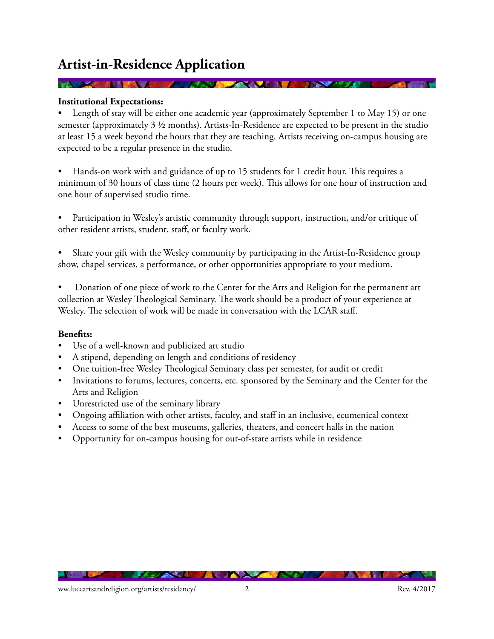# **Artist-in-Residence Application**

## **Institutional Expectations:**

Length of stay will be either one academic year (approximately September 1 to May 15) or one semester (approximately 3 ½ months). Artists-In-Residence are expected to be present in the studio at least 15 a week beyond the hours that they are teaching. Artists receiving on-campus housing are expected to be a regular presence in the studio.

**PERMIT AND IN** 

Hands-on work with and guidance of up to 15 students for 1 credit hour. This requires a minimum of 30 hours of class time (2 hours per week). This allows for one hour of instruction and one hour of supervised studio time.

Participation in Wesley's artistic community through support, instruction, and/or critique of other resident artists, student, staff, or faculty work.

Share your gift with the Wesley community by participating in the Artist-In-Residence group show, chapel services, a performance, or other opportunities appropriate to your medium.

Donation of one piece of work to the Center for the Arts and Religion for the permanent art collection at Wesley Theological Seminary. The work should be a product of your experience at Wesley. The selection of work will be made in conversation with the LCAR staff.

#### **Benefits:**

- Use of a well-known and publicized art studio
- A stipend, depending on length and conditions of residency
- One tuition-free Wesley Theological Seminary class per semester, for audit or credit
- Invitations to forums, lectures, concerts, etc. sponsored by the Seminary and the Center for the Arts and Religion
- Unrestricted use of the seminary library
- • Ongoing affiliation with other artists, faculty, and staff in an inclusive, ecumenical context
- Access to some of the best museums, galleries, theaters, and concert halls in the nation
- Opportunity for on-campus housing for out-of-state artists while in residence

**CONTRACTOR** 

**ALL**